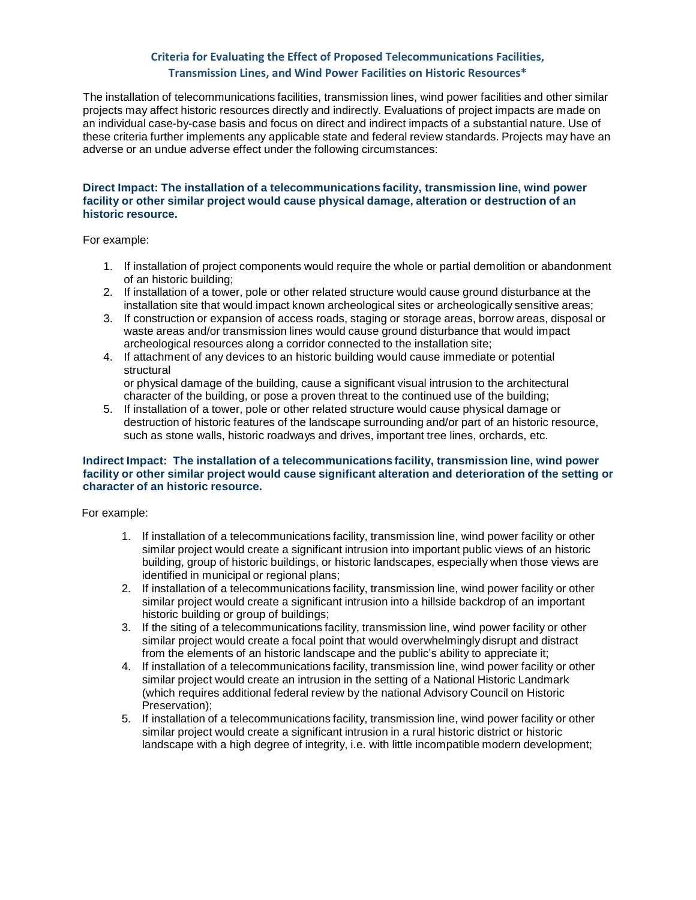## **Criteria for Evaluating the Effect of Proposed Telecommunications Facilities, Transmission Lines, and Wind Power Facilities on Historic Resources\***

The installation of telecommunications facilities, transmission lines, wind power facilities and other similar projects may affect historic resources directly and indirectly. Evaluations of project impacts are made on an individual case-by-case basis and focus on direct and indirect impacts of a substantial nature. Use of these criteria further implements any applicable state and federal review standards. Projects may have an adverse or an undue adverse effect under the following circumstances:

## **Direct Impact: The installation of a telecommunications facility, transmission line, wind power facility or other similar project would cause physical damage, alteration or destruction of an historic resource.**

For example:

- 1. If installation of project components would require the whole or partial demolition or abandonment of an historic building;
- 2. If installation of a tower, pole or other related structure would cause ground disturbance at the installation site that would impact known archeological sites or archeologically sensitive areas;
- 3. If construction or expansion of access roads, staging or storage areas, borrow areas, disposal or waste areas and/or transmission lines would cause ground disturbance that would impact archeological resources along a corridor connected to the installation site;
- 4. If attachment of any devices to an historic building would cause immediate or potential structural

or physical damage of the building, cause a significant visual intrusion to the architectural character of the building, or pose a proven threat to the continued use of the building;

5. If installation of a tower, pole or other related structure would cause physical damage or destruction of historic features of the landscape surrounding and/or part of an historic resource, such as stone walls, historic roadways and drives, important tree lines, orchards, etc.

## **Indirect Impact: The installation of a telecommunications facility, transmission line, wind power facility or other similar project would cause significant alteration and deterioration of the setting or character of an historic resource.**

For example:

- 1. If installation of a telecommunications facility, transmission line, wind power facility or other similar project would create a significant intrusion into important public views of an historic building, group of historic buildings, or historic landscapes, especially when those views are identified in municipal or regional plans;
- 2. If installation of a telecommunications facility, transmission line, wind power facility or other similar project would create a significant intrusion into a hillside backdrop of an important historic building or group of buildings;
- 3. If the siting of a telecommunications facility, transmission line, wind power facility or other similar project would create a focal point that would overwhelmingly disrupt and distract from the elements of an historic landscape and the public's ability to appreciate it;
- 4. If installation of a telecommunications facility, transmission line, wind power facility or other similar project would create an intrusion in the setting of a National Historic Landmark (which requires additional federal review by the national Advisory Council on Historic Preservation);
- 5. If installation of a telecommunications facility, transmission line, wind power facility or other similar project would create a significant intrusion in a rural historic district or historic landscape with a high degree of integrity, i.e. with little incompatible modern development;